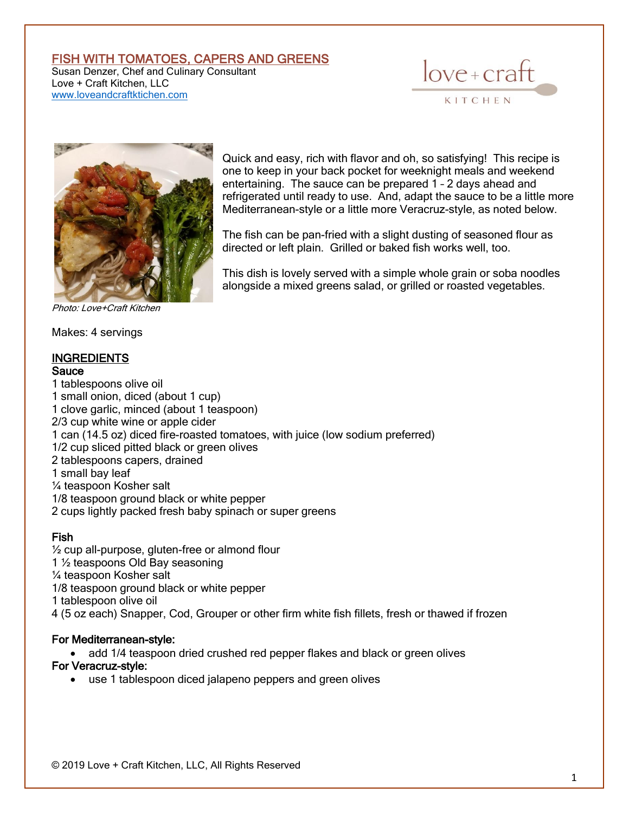# FISH WITH TOMATOES, CAPERS AND GREENS

Susan Denzer, Chef and Culinary Consultant Love + Craft Kitchen, LLC [www.loveandcraftktichen.com](http://www.loveandcraftktichen.com/)





Photo: Love+Craft Kitchen

Makes: 4 servings

# INGREDIENTS

## **Sauce**

Quick and easy, rich with flavor and oh, so satisfying! This recipe is one to keep in your back pocket for weeknight meals and weekend entertaining. The sauce can be prepared 1 – 2 days ahead and refrigerated until ready to use. And, adapt the sauce to be a little more Mediterranean-style or a little more Veracruz-style, as noted below.

The fish can be pan-fried with a slight dusting of seasoned flour as directed or left plain. Grilled or baked fish works well, too.

This dish is lovely served with a simple whole grain or soba noodles alongside a mixed greens salad, or grilled or roasted vegetables.

1 tablespoons olive oil 1 small onion, diced (about 1 cup) 1 clove garlic, minced (about 1 teaspoon) 2/3 cup white wine or apple cider 1 can (14.5 oz) diced fire-roasted tomatoes, with juice (low sodium preferred) 1/2 cup sliced pitted black or green olives 2 tablespoons capers, drained 1 small bay leaf ¼ teaspoon Kosher salt 1/8 teaspoon ground black or white pepper 2 cups lightly packed fresh baby spinach or super greens

#### Fish

½ cup all-purpose, gluten-free or almond flour 1 ½ teaspoons Old Bay seasoning ¼ teaspoon Kosher salt 1/8 teaspoon ground black or white pepper 1 tablespoon olive oil 4 (5 oz each) Snapper, Cod, Grouper or other firm white fish fillets, fresh or thawed if frozen

#### For Mediterranean-style:

• add 1/4 teaspoon dried crushed red pepper flakes and black or green olives

## For Veracruz-style:

• use 1 tablespoon diced jalapeno peppers and green olives